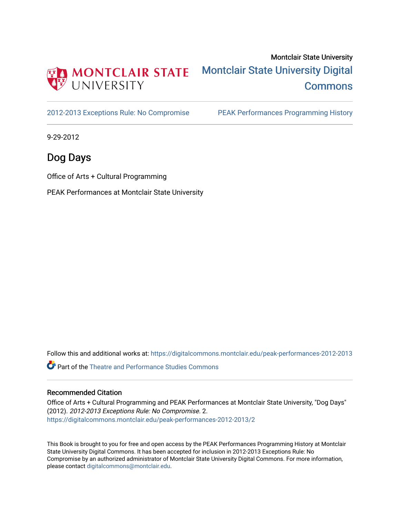

## Montclair State University [Montclair State University Digital](https://digitalcommons.montclair.edu/)  **Commons**

[2012-2013 Exceptions Rule: No Compromise](https://digitalcommons.montclair.edu/peak-performances-2012-2013) PEAK Performances Programming History

9-29-2012

## Dog Days

Office of Arts + Cultural Programming

PEAK Performances at Montclair State University

Follow this and additional works at: [https://digitalcommons.montclair.edu/peak-performances-2012-2013](https://digitalcommons.montclair.edu/peak-performances-2012-2013?utm_source=digitalcommons.montclair.edu%2Fpeak-performances-2012-2013%2F2&utm_medium=PDF&utm_campaign=PDFCoverPages) 

Part of the [Theatre and Performance Studies Commons](http://network.bepress.com/hgg/discipline/552?utm_source=digitalcommons.montclair.edu%2Fpeak-performances-2012-2013%2F2&utm_medium=PDF&utm_campaign=PDFCoverPages) 

### Recommended Citation

Office of Arts + Cultural Programming and PEAK Performances at Montclair State University, "Dog Days" (2012). 2012-2013 Exceptions Rule: No Compromise. 2. [https://digitalcommons.montclair.edu/peak-performances-2012-2013/2](https://digitalcommons.montclair.edu/peak-performances-2012-2013/2?utm_source=digitalcommons.montclair.edu%2Fpeak-performances-2012-2013%2F2&utm_medium=PDF&utm_campaign=PDFCoverPages) 

This Book is brought to you for free and open access by the PEAK Performances Programming History at Montclair State University Digital Commons. It has been accepted for inclusion in 2012-2013 Exceptions Rule: No Compromise by an authorized administrator of Montclair State University Digital Commons. For more information, please contact [digitalcommons@montclair.edu.](mailto:digitalcommons@montclair.edu)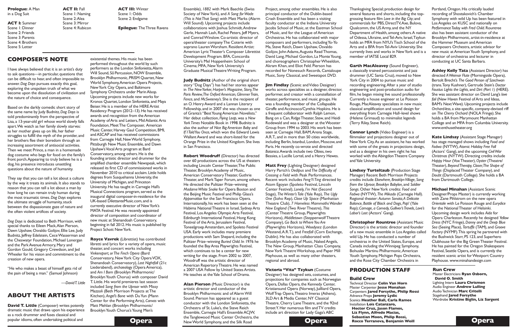Ensemble), *1882* with Mark Baechle (Swiss Society of NewYork), and *A Song forWade (This is NotThat Song)* with Matt Marks (Alarm Will Sound). Upcoming projects include collaborations with Joshua Schmidt,Andrew Gerle, Hannah Lash, Rachel Peters, Jeff Myers, and ConradWinslow. Co-artistic director of opera/theater companyThe Coterie with soprano Lauren Worsham. Resident Artist: American LyricTheater's Composer Librettist Development Program. BFA, Concordia University's Mel Hoppenheim School of Cinema; MFA, NewYork University's Graduate MusicalTheatreWriting Program.

**Judy Budnitz** (Author of the original short story "Dog Days") has had her stories appear in *The NewYorker,Harper's Magazine, Story,The Paris* Review, The Oxford American, Glimmer Train, *Fence*, and *McSweeney's*. She is the recipient of an O. Henry Award and a Lannan Literary Fellowship, and in 2007 she was chosen as one of Granta's "Best Young American Novelists." Her debut collection, *Flying Leap*, was a *New YorkTimes* Notable Book in 1998. Budnitz is also the author of *Nice Big American Baby* and *If IToldYou Once*, which won the Edward Lewis WallantAward and was short-listed for the Orange Prize in the United Kingdom. She lives in San Francisco.

**Robert Woodruff** (Director) has directed over 60 productions across the US at theaters including Lincoln Center Theater, The Public Theater, Brooklyn Academy of Music. American Conservatory Theater, Guthrie Theater, and MarkTaper Forum, among others. He directed the Pulitzer Prize–winning *MadameWhite Snake* for Opera Boston and the Beijing Music Festival and Philip Glass's *Appomattox* for the San Francisco Opera. Internationally, his work has been seen at the Habima National Theatre in Israel, Sydney Arts Festival, Los Angeles Olympic Arts Festival, Edinburgh International Festival, Hong Kong Festival of the Arts, Jerusalem Festival, ToneelgroepAmsterdam, and Spoleto Festival USA. Early work includes many premiere productions with Sam Shepard, including the Pulitzer Prize–winning *Buried Child*. In 1976 he founded the BayArea Playwrights Festival, which continues to be a center for new writing for the stage. From 2002 to 2007, Woodruff was the artistic director of American RepertoryTheatre. He was named a 2007 USA Fellow by United States Artists. He teaches at theYale School of Drama.

**Opera Opera Opera Opera Opera Alan Pierson** (Music Director) is the artistic director and conductor of the Brooklyn Philharmonic and of Alarm Will Sound. Pierson has appeared as a guest conductor with the London Sinfonietta, the Orchestra of St. Luke's, the Steve Reich Ensemble, Carnegie Hall's Ensemble ACJW, the Tanglewood Music Center Orchestra, the

**Jim Findlay** (Scenic and Video Designer) works across specialties as a designer, director, performer, and creator with a constellation of theater, performance, and music groups. He was a founding member of the Collapsable Giraffe and Accinosco/Cynthia Hopkins. He is a frequent collaborator with Ralph Lemon, Bang on a Can, Ridge Theater, Stew, and Heidi Rodewald and was a designer at theWooster Group from 1994 to 2003. His work has been seen at Carnegie Hall, BAM,Arena Stage, A.R.T., and in more than 50 cities worldwide, including Berlin, Istanbul, London, Moscow, and Paris. He recently co-wrote and directed **Botanica.Awards include two Obies, two** Bessies, a Lucille Lortel, and a Henry Hewes.

Designer) has designed sets, costumes, and projections for companies such as Norwegian Opera, Dallas Opera, the Kennedy Center, Kristiansund Opera (Norway), Juilliard Opera, WolfTrap Opera,Theatro Imeras (Athens), 3LDArt & Media Center,NY Classical Theatre, Cherry LaneTheatre, and the 92nd Street Y. Her numerous film and TV credits include art direction for Lady Gaga's ABC



Project, among other ensembles. He is also principal conductor of the Dublin-based Crash Ensemble and has been a visiting faculty conductor at the Indiana University Jacobs School of Music, at the Eastman School of Music, and for the League of American Orchestras. He has collaborated with major composers and performers, includingYo-Yo Ma, Steve Reich, Dawn Upshaw, Osvaldo Golijov, JohnAdams,Augusta ReadThomas, David Lang, Michael Gordon, La Monte Young, and choreographers Christopher Wheeldon, Akram Khan, and Eliot Feld. Pierson has recorded for Nonesuch Records, Cantaloupe Music, Sony Classical, and Sweetspot DVD.

**David T. Little** (Composer) writes potently dramatic music that draws upon his experience as a rock drummer and fuses classical and popular idioms, often undertaking political and

theater, and concert works including *Vinkensport, orThe Finch Opera* (Bard Conservatory, NewYork City OperaVOX, Shenandoah Conservatory), *Last Nightfall* (21c Liederabend), *archaeology* (Opera America), and *Am I Born* (Brooklyn Philharmonic/ Brooklyn Youth Chorus) with composer David T. Little. His world premieres last season included *Song from the Uproar* with Missy Mazzoli (Beth Morrison Projects at The Kitchen), *Angel's Bone* with DuYun (Mann Center for the PerformingArts), *Canvas* with Matt Mehlan (Brooklyn Philharmonic/ Brooklyn Youth Chorus's Young Men's

**Matt Frey** (Lighting Designer) designed Harry Partch's *Oedipus* and*The Difficulty of Crossing a Field* with Peak Performances. Recent work includes *FengYiTing* directed by Atom Egoyan (Spoleto Festival, Lincoln Center Festival), *Lonely, I'm Not* (Second Stage), *TheWinter'sTale* (Yale Rep), *The Ugly One* (Soho Rep), *Close Up Space* (Manhattan Theatre Club), *7 Homeless MammothsWander New England* (Two RiverTheatre), *This* (CenterTheatre Group, Playwrights Horizons), *Middletown* (SteppenwolfTheatre Company), *Go Back toWhereYou Are* (Playwrights Horizons), *Woodysez* (London Westend,A.R.T.), and *Freefall* (Corn Exchange, Dublin). He has also collaborated with Brooklyn Academy of Music, Naked Angels, The New Group, Manhattan Class Company, NewYorkTheatreWorkshop, and Paper Mill Playhouse, as well as many other theaters, regional and abroad.

### **Victoria "Vita" Tzykun** (Costume

### **COMPOSER'S NOTE**

I have always believed that it is an artist's duty to ask questions—in particular, questions that can be difficult to hear, and often impossible to answer.*Dog Days* pursues exactly this goal, exploring the unspoken truth of what we become upon the dissolution of civilization and the nature of choice and consequence.

Based on the darkly comedic short story of the same name by Judy Budnitz,*Dog Days* is told predominantly from the perspective of Lisa, a 13-year-old girl whose world slowly falls apart.We watch as her family slowly starves: as her mother gives up on life, her father struggles to fulfill the myth of the provider, and her brothers flee their boredom through an increasing assortment of antisocial activities. Then we meet Prince, a man in a homemade dog costume who begs for food on the family's front porch.Appearing to truly believe he is a dog, his presence introduces unsettling questions about the nature of humanity.

They say that you can tell a lot about a culture by the way it treats its animals. It also stands to reason that you can tell a lot about a man by how long he can remain truly human during the most traumatic times.*Dog Days* explores the ultimate struggle of humanity, stuck between the dispassionate gaze of nature and the often violent artifices of society.

*Dog Days* is dedicated to Beth Morrison, with special thanks to Eileen Mack,Alan Pierson, Dawn Upshaw, Osvaldo Golijov, Ellie Lee, Judy Budnitz, Jeffrey Edelstein, Cece Wasserman and the Cheswatyr Foundation, Michael Lonergan and the Park Avenue Armory, Mary and Gordon Gould, Gregory Crewdson, and Jed Wheeler for his vision and commitment to the creation of new opera.

"He who makes a beast of himself gets rid of the pain of being a man." (Samuel Johnson)

*—DavidT. Little*

### **ABOUT THE ARTISTS**

existential themes.His music has been performed throughout the world by such performers as the London Sinfonietta,Alarm Will Sound, So Percussion, NOW Ensemble, Brooklyn Philharmonic, PRISM Quartet, New World Symphony,American Opera Projects, NewYork City Opera, and Baltimore Symphony Orchestra under Marin Alsop. Upcoming projects include new works for Kronos Quartet, London Sinfonietta, and Maya Beiser. He is a member of the HERE Artist Residency Program (2012–13). He has received awards and recognition from theAmerican Academy of Arts and Letters, Mid Atlantic Arts Foundation, Meet The Composer, American Music Center, Harvey Gaul Competition, BMI, andASCAP and has received commissions from Carnegie Hall, New World Symphony, Pittsburgh New Music Ensemble, and Dawn Upshaw'sVocalArts program at Bard Conservatory, among others.He is the founding artistic director and drummer for the amplified chamber ensemble Newspeak,which released its first CD of commissioned works in November 2010 to critical acclaim. Little holds degrees from Susquehanna University, the University of Michigan, and Princeton University.He has taught in Carnegie Hall's Musical Connections program, served as the inaugural digital composer-in-residence for the UK-based DilettanteMusic.com, and is currently executive director of NewYork's MATA Festival.He was recently appointed director of composition and coordinator of new music at Shenandoah Conservatory, beginning in fall 2012.His music is published by

Project Schott New York.

**Royce Vavrek** (Librettist) has contributed libretti and lyrics for a variety of opera, music

Thanksgiving Special; production design for several features and shorts, including the topgrossing feature film *Love in the Big City*; and commercials for PBS, DirectTV, Axe, Bulova, Qualcomm, the US Army, and the NY Department of Health, among others.A native of Odessa, Ukraine, and Tel-Aviv, Israel, Tzykun holds an MFA from NYU'sTisch School of the Arts and a BFA fromTel-Aviv University. She currently lives and works in NewYork and is a

member of IATSE Local 829.

**Garth MacAleavey** (Sound Engineer), a classically trained percussionist and jazz drummer (UC Santa Cruz), moved to New York City in 2004 to pursue music and recording engineering.After a year of studio engineering and post-production audio for film, he began mixing live sound professionally. Currently a house engineer at Le Poisson Rouge, MacAleavey specializes in new music classical amplification and sound design for everything from Carnegie Hall–level shows (Helene Grimaud) to minimalist legends (Terry Riley, Steve Reich).

**Connor Lynch** (Video Engineer) is a filmmaker and projections designer out of NewYork City.As an assistant, he has worked with some of the greats in projections design, and as a designer in his own right he has worked with the Abingdon Theatre Company andYale University.

**Lindsey Turteltaub** (Production Stage Manager) Recent Beth Morrison Projects credits include *Elsewhere, BrooklynVillage, Song from the Uproar, Brooklyn Babylon,* and *Soldier Songs*. Other NewYork credits: *Food and Fadwa* (NYTW), *The Mikado* (Carnegie Hall). Regional theater: *Autumn Sonata,A Delicate Balance, Battle of Black and Dogs, Pop!* (Yale Rep); *Carnage, a Comedy,Gulliver'sTravels, Love's Labor's Lost* (Actors' Gang).

**Christopher Rountree** (Assistant Music Director) is the artistic director and founder of a new music ensemble in LosAngeles called wild Up. He has conducted a number of orchestras in the United States, Europe, and Canada including theWinnipeg Symphony, Bohuslav Martinu Philharmonic,American Youth Symphony, Michigan Pops Orchestra, and the Rose City Chamber Orchestra in

Portland, Oregon. His critically lauded recording of Shostakovich's Chamber Symphony with wild Up has been featured in LosAngeles on KUSC and nationally on *PerformanceToday with Fred Child*.Rountree also has been assistant conductor of the Brooklyn Philharmonic, artist-in-residence at the Hammer Museum andAmerican Composers Orchestra, artistic advisor for new music at American Youth Symphony, and director of orchestras and lecturer in conducting at UC Santa Barbara.

**Ashley Kelly Tata** (Assistant Director) has directed *AWeimar Flute* (Morningside Opera), Bertolt Brecht's *The Good Person of Szechwan* (trans.Tony Kushner),Gertrude Stein's *Doctor Faustus Lights the Lights,* and *Dirt (Part 1)* (HERE). She was assistant director on David Lang's *love* fail (New Haven Festival of Arts and Ideas, BAM's NextWave).Upcoming projects include *Orchard-less*, a site-specific, company-devised riff on *The Cherry Orchard* (NOLA Fringe). She holds a BA from Marymount Manhattan College and an MFA from Columbia University. www.enthusetheater.org

**Kate Lindsay** (Assistant Stage Manager) has stage managed shows including *Food and Fadwa* (NYTW), *Atomic Holiday Free Fall* (Actors' Gang), and the upcoming *CivilWar Christmas* (NYTW).Directing credits include *Happy Hour* (VoxTheater),*Oyster* (Theatre/ Theater), *BeyondTherapy, Closer,The Shape of Things* (DisplacedTheater Company), and *Doubt* (Dartmouth College). She holds a BA from Dartmouth College.

**Michael Minahan** (Assistant Scenic Designer/Props Master) is currently working with Zane Pihlstrom on the new opera *Orientale* with Le Poisson Rouge and *Eurydice* for the National Theater of Helsinki. Upcoming design work includes *Aida* for Opera Charleston.Recently he designed *Yellow Dress* (NYC Fringe),*Danny and the Deep Blue Sea* (Seeing Place), *Tartuffe* (TAM), and *Groove Factory* (NYMF).This spring he partnered with the Bushwick Starr, PS 123, and Superhero Clubhouse for the Big GreenTheater Festival. He has painted for the Oregon Shakespeare Festival, Seattle Opera, and is currently the resident scenic artist for Westport Country Playhouse. www.minahandesign.com



**Prologue:** A Man in a Dog Suit

**ACT I:** Summer Scene 1: Dinner Scene 2: Friends Scene 3: Parents Scene 4: Brothers Scene 5: Letter

**ACT II:** Fall Scene 1: Naming Scene 2:Alea Scene 3: Mirror Scene 4: Rubicon

**ACT III:** Winter Scene 1: Odds Scene 2: Endgame

**Epilogue:** TheThree Ravens

## **PRODUCTION STAFF**

### **Build Crew**

Technical Director **Colin Van Horn** Master Carpenter **Jesse Monahan** Carpenters **Jared Forsythe, Philip Rossi** Advance Props **Jeremy Lydic** Scenics **Heather Ball, Carla Ramos** Installation **Lois Catanzaro, Hector Cruz, Jason Flamos, Liz Flynn, Alfredo Macias, Sebastian Moon, Philip Rossi, Rocco Terranova, Benjamin Weill**

### **Run Crew**

Master Electricians **Ryan Osborn, David O. Smith** Lighting Intern **Laura Chrismon** Audio Engineer **Andrew Lulling** AudioTechnician **Marc Critelli** Stagehand **Jared Forsythe** Wardrobe **Kristine Biglin, Liz Sargent**